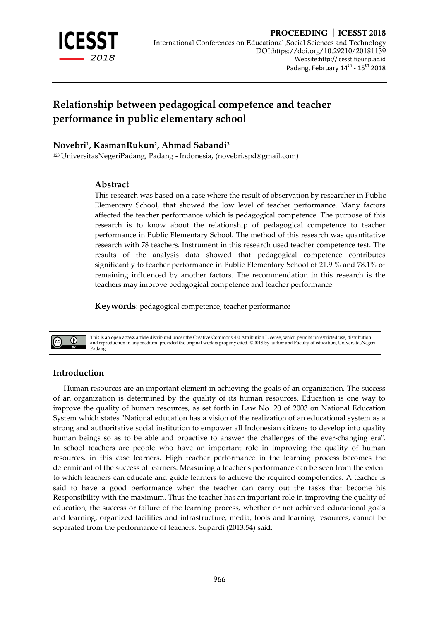

# **Relationship between pedagogical competence and teacher performance in public elementary school**

# **Novebri<sup>1</sup> , KasmanRukun<sup>2</sup> , Ahmad Sabandi<sup>3</sup>**

<sup>123</sup> UniversitasNegeriPadang, Padang - Indonesia, [\(novebri.spd@gmail.com](mailto:novebri.spd@gmail.com))

# **Abstract**

This research was based on a case where the result of observation by researcher in Public Elementary School, that showed the low level of teacher performance. Many factors affected the teacher performance which is pedagogical competence. The purpose of this research is to know about the relationship of pedagogical competence to teacher performance in Public Elementary School. The method of this research was quantitative research with 78 teachers. Instrument in this research used teacher competence test. The results of the analysis data showed that pedagogical competence contributes significantly to teacher performance in Public Elementary School of 21.9 % and 78.1% of remaining influenced by another factors. The recommendation in this research is the teachers may improve pedagogical competence and teacher performance.

**Keywords**: pedagogical competence, teacher performance



This is an open access article distributed under the Creative Commons 4.0 Attribution License, which permits unrestricted use, distribution, and reproduction in any medium, provided the original work is properly cited. ©2018 by author and Faculty of education, UniversitasNegeri Padang.

# **Introduction**

Human resources are an important element in achieving the goals of an organization. The success of an organization is determined by the quality of its human resources. Education is one way to improve the quality of human resources, as set forth in Law No. 20 of 2003 on National Education System which states "National education has a vision of the realization of an educational system as a strong and authoritative social institution to empower all Indonesian citizens to develop into quality human beings so as to be able and proactive to answer the challenges of the ever-changing era". In school teachers are people who have an important role in improving the quality of human resources, in this case learners. High teacher performance in the learning process becomes the determinant of the success of learners. Measuring a teacher's performance can be seen from the extent to which teachers can educate and guide learners to achieve the required competencies. A teacher is said to have a good performance when the teacher can carry out the tasks that become his Responsibility with the maximum. Thus the teacher has an important role in improving the quality of education, the success or failure of the learning process, whether or not achieved educational goals and learning, organized facilities and infrastructure, media, tools and learning resources, cannot be separated from the performance of teachers. Supardi (2013:54) said: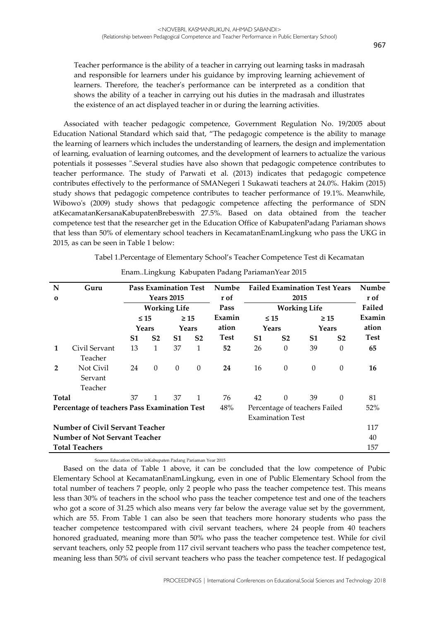# Teacher performance is the ability of a teacher in carrying out learning tasks in madrasah and responsible for learners under his guidance by improving learning achievement of learners. Therefore, the teacher's performance can be interpreted as a condition that shows the ability of a teacher in carrying out his duties in the madrasah and illustrates the existence of an act displayed teacher in or during the learning activities.

Associated with teacher pedagogic competence, Government Regulation No. 19/2005 about Education National Standard which said that, "The pedagogic competence is the ability to manage the learning of learners which includes the understanding of learners, the design and implementation of learning, evaluation of learning outcomes, and the development of learners to actualize the various potentials it possesses ".Several studies have also shown that pedagogic competence contributes to teacher performance. The study of Parwati et al. (2013) indicates that pedagogic competence contributes effectively to the performance of SMANegeri 1 Sukawati teachers at 24.0%. Hakim (2015) study shows that pedagogic competence contributes to teacher performance of 19.1%. Meanwhile, Wibowo's (2009) study shows that pedagogic competence affecting the performance of SDN atKecamatanKersanaKabupatenBrebeswith 27.5%. Based on data obtained from the teacher competence test that the researcher get in the Education Office of KabupatenPadang Pariaman shows that less than 50% of elementary school teachers in KecamatanEnamLingkung who pass the UKG in 2015, as can be seen in Table 1 below:

Tabel 1.Percentage of Elementary School's Teacher Competence Test di Kecamatan

| N                                      | Guru                                         |           | <b>Pass Examination Test</b> |                | Numbe          |                     | <b>Failed Examination Test Years</b> |                |                  |                  |             |
|----------------------------------------|----------------------------------------------|-----------|------------------------------|----------------|----------------|---------------------|--------------------------------------|----------------|------------------|------------------|-------------|
| $\mathbf 0$                            |                                              |           | <b>Years 2015</b>            |                | r of           | 2015                |                                      |                |                  | r of             |             |
|                                        |                                              |           | <b>Working Life</b>          |                | Pass           | <b>Working Life</b> |                                      |                |                  | Failed           |             |
|                                        |                                              | $\leq 15$ |                              |                | $\geq 15$      | Examin              |                                      | $\leq 15$      |                  | $\geq 15$        | Examin      |
|                                        |                                              |           | Years                        |                | Years          | ation               | Years                                |                | Years            |                  | ation       |
|                                        |                                              | S1        | S <sub>2</sub>               | S1             | S <sub>2</sub> | <b>Test</b>         | S1                                   | S <sub>2</sub> | S1               | S <sub>2</sub>   | <b>Test</b> |
| 1                                      | Civil Servant                                | 13        | 1                            | 37             | $\mathbf{1}$   | 52                  | 26                                   | $\theta$       | 39               | $\theta$         | 65          |
|                                        | Teacher                                      |           |                              |                |                |                     |                                      |                |                  |                  |             |
| $\overline{2}$                         | Not Civil                                    | 24        | $\theta$                     | $\overline{0}$ | $\theta$       | 24                  | 16                                   | $\theta$       | $\boldsymbol{0}$ | $\boldsymbol{0}$ | 16          |
|                                        | Servant                                      |           |                              |                |                |                     |                                      |                |                  |                  |             |
|                                        | Teacher                                      |           |                              |                |                |                     |                                      |                |                  |                  |             |
| <b>Total</b>                           |                                              | 37        | 1                            | 37             | $\mathbf{1}$   | 76                  | 42                                   | $\Omega$       | 39               | $\Omega$         | 81          |
|                                        | Percentage of teachers Pass Examination Test |           |                              |                |                | 48%                 | Percentage of teachers Failed        |                |                  | 52%              |             |
| <b>Examination Test</b>                |                                              |           |                              |                |                |                     |                                      |                |                  |                  |             |
| <b>Number of Civil Servant Teacher</b> |                                              |           |                              |                |                |                     |                                      |                | 117              |                  |             |
| <b>Number of Not Servant Teacher</b>   |                                              |           |                              |                |                |                     |                                      |                | 40               |                  |             |
| <b>Total Teachers</b>                  |                                              |           |                              |                |                |                     |                                      | 157            |                  |                  |             |

Enam..Lingkung Kabupaten Padang PariamanYear 2015

Source: Education Office inKabupaten Padang Pariaman Year 2015

Based on the data of Table 1 above, it can be concluded that the low competence of Pubic Elementary School at KecamatanEnamLingkung, even in one of Public Elementary School from the total number of teachers 7 people, only 2 people who pass the teacher competence test. This means less than 30% of teachers in the school who pass the teacher competence test and one of the teachers who got a score of 31.25 which also means very far below the average value set by the government, which are 55. From Table 1 can also be seen that teachers more honorary students who pass the teacher competence testcompared with civil servant teachers, where 24 people from 40 teachers honored graduated, meaning more than 50% who pass the teacher competence test. While for civil servant teachers, only 52 people from 117 civil servant teachers who pass the teacher competence test, meaning less than 50% of civil servant teachers who pass the teacher competence test. If pedagogical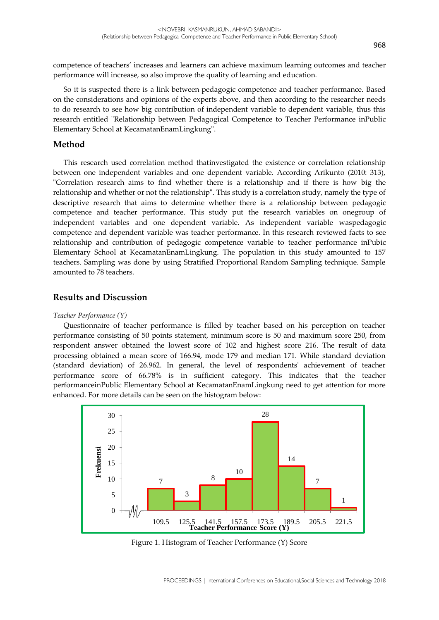competence of teachers' increases and learners can achieve maximum learning outcomes and teacher performance will increase, so also improve the quality of learning and education.

So it is suspected there is a link between pedagogic competence and teacher performance. Based on the considerations and opinions of the experts above, and then according to the researcher needs to do research to see how big contribution of independent variable to dependent variable, thus this research entitled "Relationship between Pedagogical Competence to Teacher Performance inPublic Elementary School at KecamatanEnamLingkung".

### **Method**

This research used correlation method thatinvestigated the existence or correlation relationship between one independent variables and one dependent variable. According Arikunto (2010: 313), "Correlation research aims to find whether there is a relationship and if there is how big the relationship and whether or not the relationship". This study is a correlation study, namely the type of descriptive research that aims to determine whether there is a relationship between pedagogic competence and teacher performance. This study put the research variables on onegroup of independent variables and one dependent variable. As independent variable waspedagogic competence and dependent variable was teacher performance. In this research reviewed facts to see relationship and contribution of pedagogic competence variable to teacher performance inPubic Elementary School at KecamatanEnamLingkung. The population in this study amounted to 157 teachers. Sampling was done by using Stratified Proportional Random Sampling technique. Sample amounted to 78 teachers.

### **Results and Discussion**

#### *Teacher Performance (Y)*

Questionnaire of teacher performance is filled by teacher based on his perception on teacher performance consisting of 50 points statement, minimum score is 50 and maximum score 250, from respondent answer obtained the lowest score of 102 and highest score 216. The result of data processing obtained a mean score of 166.94, mode 179 and median 171. While standard deviation (standard deviation) of 26.962. In general, the level of respondents' achievement of teacher performance score of 66.78% is in sufficient category. This indicates that the teacher performanceinPublic Elementary School at KecamatanEnamLingkung need to get attention for more enhanced. For more details can be seen on the histogram below:



Figure 1. Histogram of Teacher Performance (Y) Score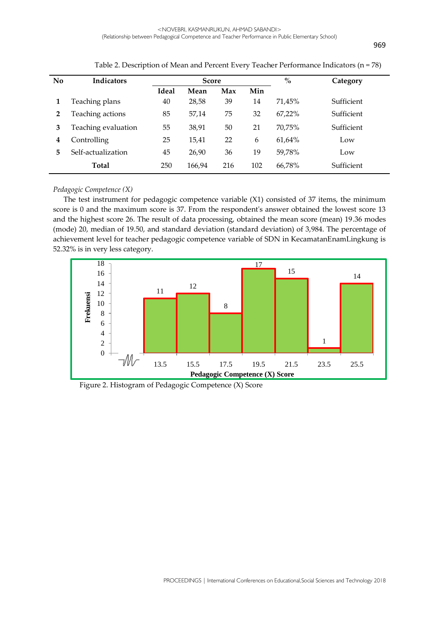| No | <b>Indicators</b>   | <b>Score</b> |        |     |     | $\%$   | Category   |
|----|---------------------|--------------|--------|-----|-----|--------|------------|
|    |                     | <b>Ideal</b> | Mean   | Max | Min |        |            |
|    | Teaching plans      | 40           | 28,58  | 39  | 14  | 71.45% | Sufficient |
| 2  | Teaching actions    | 85           | 57,14  | 75  | 32  | 67.22% | Sufficient |
| 3  | Teaching evaluation | 55           | 38,91  | 50  | 21  | 70.75% | Sufficient |
| 4  | Controlling         | 25           | 15,41  | 22  | 6   | 61.64% | Low        |
| 5  | Self-actualization  | 45           | 26,90  | 36  | 19  | 59.78% | Low        |
|    | <b>Total</b>        | 250          | 166,94 | 216 | 102 | 66,78% | Sufficient |

Table 2. Description of Mean and Percent Every Teacher Performance Indicators (n = 78)

### *Pedagogic Competence (X)*

The test instrument for pedagogic competence variable (X1) consisted of 37 items, the minimum score is 0 and the maximum score is 37. From the respondent's answer obtained the lowest score 13 and the highest score 26. The result of data processing, obtained the mean score (mean) 19.36 modes (mode) 20, median of 19.50, and standard deviation (standard deviation) of 3,984. The percentage of achievement level for teacher pedagogic competence variable of SDN in KecamatanEnamLingkung is 52.32% is in very less category.



Figure 2. Histogram of Pedagogic Competence (X) Score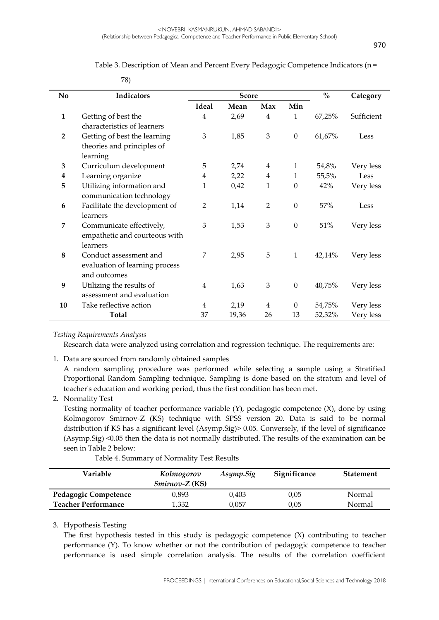### Table 3. Description of Mean and Percent Every Pedagogic Competence Indicators (n =

| No             | Indicators                     |                | <b>Score</b> | $\mathbf{0}_{\mathbf{0}}^{\prime}$ | Category         |        |            |
|----------------|--------------------------------|----------------|--------------|------------------------------------|------------------|--------|------------|
|                |                                | <b>Ideal</b>   | Mean         | Max                                | Min              |        |            |
| $\mathbf{1}$   | Getting of best the            | 4              | 2,69         | 4                                  | 1                | 67,25% | Sufficient |
|                | characteristics of learners    |                |              |                                    |                  |        |            |
| $\overline{2}$ | Getting of best the learning   | 3              | 1,85         | 3                                  | $\boldsymbol{0}$ | 61,67% | Less       |
|                | theories and principles of     |                |              |                                    |                  |        |            |
|                | learning                       |                |              |                                    |                  |        |            |
| 3              | Curriculum development         | 5              | 2,74         | 4                                  | $\mathbf{1}$     | 54,8%  | Very less  |
| 4              | Learning organize              | 4              | 2,22         | $\overline{4}$                     | 1                | 55,5%  | Less       |
| 5              | Utilizing information and      | 1              | 0,42         | 1                                  | $\boldsymbol{0}$ | 42%    | Very less  |
|                | communication technology       |                |              |                                    |                  |        |            |
| 6              | Facilitate the development of  | $\overline{2}$ | 1,14         | $\overline{2}$                     | $\boldsymbol{0}$ | 57%    | Less       |
|                | learners                       |                |              |                                    |                  |        |            |
| 7              | Communicate effectively,       | 3              | 1,53         | 3                                  | $\mathbf{0}$     | 51%    | Very less  |
|                | empathetic and courteous with  |                |              |                                    |                  |        |            |
|                | learners                       |                |              |                                    |                  |        |            |
| $\bf 8$        | Conduct assessment and         | 7              | 2,95         | 5                                  | $\mathbf{1}$     | 42,14% | Very less  |
|                | evaluation of learning process |                |              |                                    |                  |        |            |
|                | and outcomes                   |                |              |                                    |                  |        |            |
| 9              | Utilizing the results of       | 4              | 1,63         | 3                                  | $\boldsymbol{0}$ | 40,75% | Very less  |
|                | assessment and evaluation      |                |              |                                    |                  |        |            |
| 10             | Take reflective action         | 4              | 2,19         | 4                                  | $\boldsymbol{0}$ | 54,75% | Very less  |
|                | <b>Total</b>                   | 37             | 19,36        | 26                                 | 13               | 52,32% | Very less  |

*Testing Requirements Analysis*

Research data were analyzed using correlation and regression technique. The requirements are:

1. Data are sourced from randomly obtained samples

78)

A random sampling procedure was performed while selecting a sample using a Stratified Proportional Random Sampling technique. Sampling is done based on the stratum and level of teacher's education and working period, thus the first condition has been met.

2. Normality Test

Testing normality of teacher performance variable (Y), pedagogic competence (X), done by using Kolmogorov Smirnov-Z (KS) technique with SPSS version 20. Data is said to be normal distribution if KS has a significant level (Asymp.Sig)> 0.05. Conversely, if the level of significance (Asymp.Sig) <0.05 then the data is not normally distributed. The results of the examination can be seen in Table 2 below:

Table 4. Summary of Normality Test Results

| Variable                   | Kolmogorov<br>$Sminov-Z$ (KS) | Asymp.Sig | Significance | <b>Statement</b> |
|----------------------------|-------------------------------|-----------|--------------|------------------|
| Pedagogic Competence       | 0.893                         | 0.403     | 0,05         | Normal           |
| <b>Teacher Performance</b> | 1,332                         | 0.057     | 0.05         | Normal           |

### 3. Hypothesis Testing

The first hypothesis tested in this study is pedagogic competence (X) contributing to teacher performance (Y). To know whether or not the contribution of pedagogic competence to teacher performance is used simple correlation analysis. The results of the correlation coefficient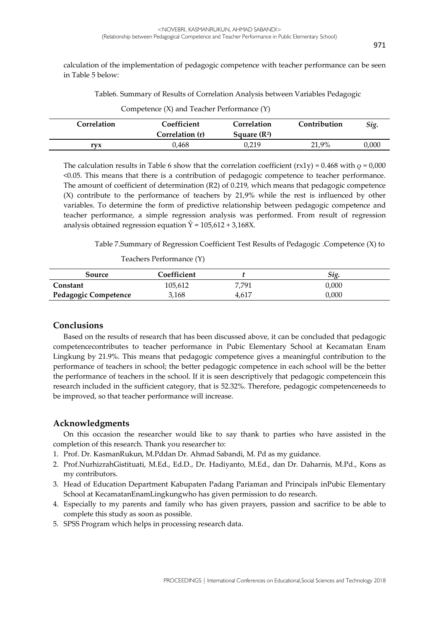calculation of the implementation of pedagogic competence with teacher performance can be seen in Table 5 below:

Table6. Summary of Results of Correlation Analysis between Variables Pedagogic

| Correlation | Coefficient     | Correlation    | Contribution | Sig.  |
|-------------|-----------------|----------------|--------------|-------|
|             | Correlation (r) | Square $(R^2)$ |              |       |
| rvx         | 0,468           | 0.219          | 21,9%        | 0,000 |

Competence (X) and Teacher Performance (Y)

The calculation results in Table 6 show that the correlation coefficient (rx1y) = 0.468 with  $\rho$  = 0,000 <0.05. This means that there is a contribution of pedagogic competence to teacher performance. The amount of coefficient of determination (R2) of 0.219, which means that pedagogic competence (X) contribute to the performance of teachers by 21,9% while the rest is influenced by other variables. To determine the form of predictive relationship between pedagogic competence and teacher performance, a simple regression analysis was performed. From result of regression analysis obtained regression equation  $\hat{Y} = 105,612 + 3,168X$ .

Table 7.Summary of Regression Coefficient Test Results of Pedagogic .Competence (X) to

Teachers Performance (Y)

| Source                      | Coefficient |       | Sig.  |
|-----------------------------|-------------|-------|-------|
| Constant                    | 105.612     | 7.791 | 0.000 |
| <b>Pedagogic Competence</b> | 3,168       | 4.617 | 0.000 |

### **Conclusions**

Based on the results of research that has been discussed above, it can be concluded that pedagogic competencecontributes to teacher performance in Pubic Elementary School at Kecamatan Enam Lingkung by 21.9%. This means that pedagogic competence gives a meaningful contribution to the performance of teachers in school; the better pedagogic competence in each school will be the better the performance of teachers in the school. If it is seen descriptively that pedagogic competencein this research included in the sufficient category, that is 52.32%. Therefore, pedagogic competenceneeds to be improved, so that teacher performance will increase.

# **Acknowledgments**

On this occasion the researcher would like to say thank to parties who have assisted in the completion of this research. Thank you researcher to:

- 1. Prof. Dr. KasmanRukun, M.Pddan Dr. Ahmad Sabandi, M. Pd as my guidance.
- 2. Prof.NurhizrahGistituati, M.Ed., Ed.D., Dr. Hadiyanto, M.Ed., dan Dr. Daharnis, M.Pd., Kons as my contributors.
- 3. Head of Education Department Kabupaten Padang Pariaman and Principals inPubic Elementary School at KecamatanEnamLingkungwho has given permission to do research.
- 4. Especially to my parents and family who has given prayers, passion and sacrifice to be able to complete this study as soon as possible.
- 5. SPSS Program which helps in processing research data.